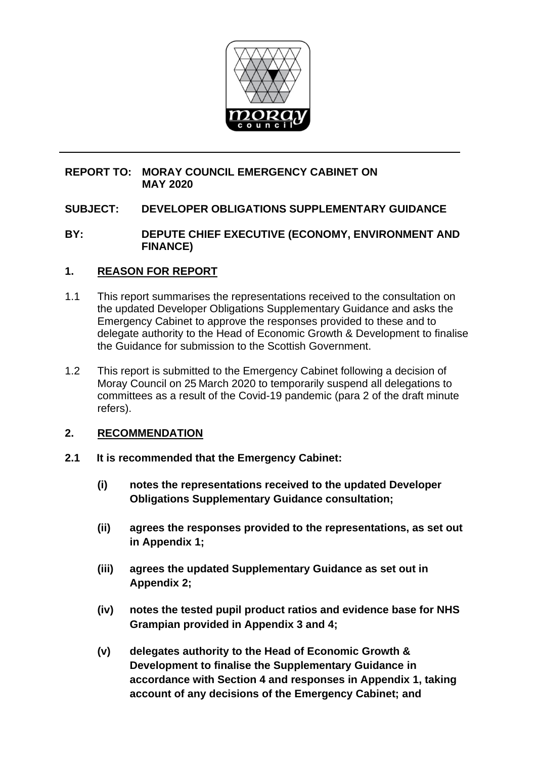

# **REPORT TO: MORAY COUNCIL EMERGENCY CABINET ON MAY 2020**

# **SUBJECT: DEVELOPER OBLIGATIONS SUPPLEMENTARY GUIDANCE**

### **BY: DEPUTE CHIEF EXECUTIVE (ECONOMY, ENVIRONMENT AND FINANCE)**

# **1. REASON FOR REPORT**

- 1.1 This report summarises the representations received to the consultation on the updated Developer Obligations Supplementary Guidance and asks the Emergency Cabinet to approve the responses provided to these and to delegate authority to the Head of Economic Growth & Development to finalise the Guidance for submission to the Scottish Government.
- 1.2 This report is submitted to the Emergency Cabinet following a decision of Moray Council on 25 March 2020 to temporarily suspend all delegations to committees as a result of the Covid-19 pandemic (para 2 of the draft minute refers).

# **2. RECOMMENDATION**

- **2.1 It is recommended that the Emergency Cabinet:**
	- **(i) notes the representations received to the updated Developer Obligations Supplementary Guidance consultation;**
	- **(ii) agrees the responses provided to the representations, as set out in Appendix 1;**
	- **(iii) agrees the updated Supplementary Guidance as set out in Appendix 2;**
	- **(iv) notes the tested pupil product ratios and evidence base for NHS Grampian provided in Appendix 3 and 4;**
	- **(v) delegates authority to the Head of Economic Growth & Development to finalise the Supplementary Guidance in accordance with Section 4 and responses in Appendix 1, taking account of any decisions of the Emergency Cabinet; and**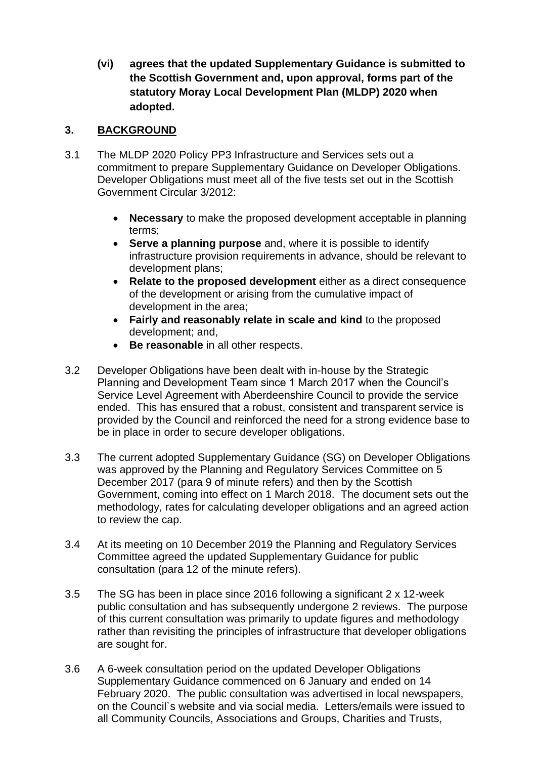**(vi) agrees that the updated Supplementary Guidance is submitted to the Scottish Government and, upon approval, forms part of the statutory Moray Local Development Plan (MLDP) 2020 when adopted.**

# **3. BACKGROUND**

- 3.1 The MLDP 2020 Policy PP3 Infrastructure and Services sets out a commitment to prepare Supplementary Guidance on Developer Obligations. Developer Obligations must meet all of the five tests set out in the Scottish Government Circular 3/2012:
	- **Necessary** to make the proposed development acceptable in planning terms;
	- **Serve a planning purpose** and, where it is possible to identify infrastructure provision requirements in advance, should be relevant to development plans;
	- **Relate to the proposed development** either as a direct consequence of the development or arising from the cumulative impact of development in the area;
	- **Fairly and reasonably relate in scale and kind** to the proposed development; and,
	- **Be reasonable** in all other respects.
- 3.2 Developer Obligations have been dealt with in-house by the Strategic Planning and Development Team since 1 March 2017 when the Council's Service Level Agreement with Aberdeenshire Council to provide the service ended. This has ensured that a robust, consistent and transparent service is provided by the Council and reinforced the need for a strong evidence base to be in place in order to secure developer obligations.
- 3.3 The current adopted Supplementary Guidance (SG) on Developer Obligations was approved by the Planning and Regulatory Services Committee on 5 December 2017 (para 9 of minute refers) and then by the Scottish Government, coming into effect on 1 March 2018. The document sets out the methodology, rates for calculating developer obligations and an agreed action to review the cap.
- 3.4 At its meeting on 10 December 2019 the Planning and Regulatory Services Committee agreed the updated Supplementary Guidance for public consultation (para 12 of the minute refers).
- 3.5 The SG has been in place since 2016 following a significant 2 x 12-week public consultation and has subsequently undergone 2 reviews. The purpose of this current consultation was primarily to update figures and methodology rather than revisiting the principles of infrastructure that developer obligations are sought for.
- 3.6 A 6-week consultation period on the updated Developer Obligations Supplementary Guidance commenced on 6 January and ended on 14 February 2020. The public consultation was advertised in local newspapers, on the Council`s website and via social media. Letters/emails were issued to all Community Councils, Associations and Groups, Charities and Trusts,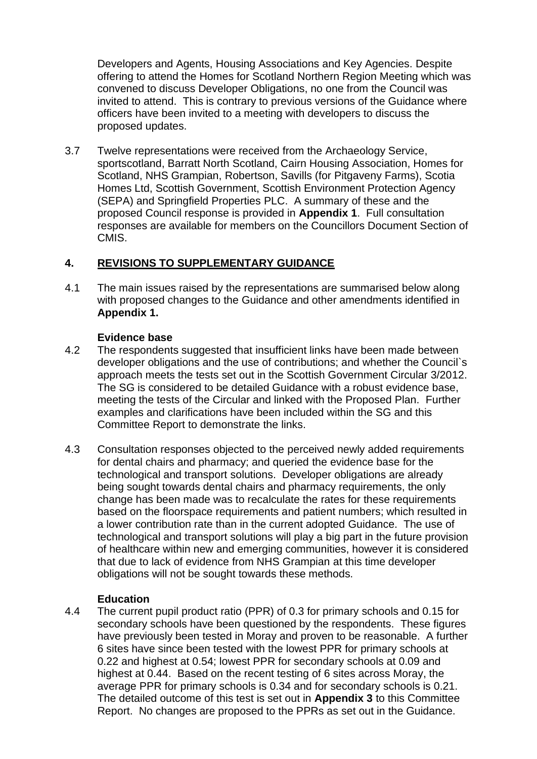Developers and Agents, Housing Associations and Key Agencies. Despite offering to attend the Homes for Scotland Northern Region Meeting which was convened to discuss Developer Obligations, no one from the Council was invited to attend. This is contrary to previous versions of the Guidance where officers have been invited to a meeting with developers to discuss the proposed updates.

3.7 Twelve representations were received from the Archaeology Service, sportscotland, Barratt North Scotland, Cairn Housing Association, Homes for Scotland, NHS Grampian, Robertson, Savills (for Pitgaveny Farms), Scotia Homes Ltd, Scottish Government, Scottish Environment Protection Agency (SEPA) and Springfield Properties PLC. A summary of these and the proposed Council response is provided in **Appendix 1**. Full consultation responses are available for members on the Councillors Document Section of CMIS.

# **4. REVISIONS TO SUPPLEMENTARY GUIDANCE**

4.1 The main issues raised by the representations are summarised below along with proposed changes to the Guidance and other amendments identified in **Appendix 1.** 

#### **Evidence base**

- 4.2 The respondents suggested that insufficient links have been made between developer obligations and the use of contributions; and whether the Council`s approach meets the tests set out in the Scottish Government Circular 3/2012. The SG is considered to be detailed Guidance with a robust evidence base, meeting the tests of the Circular and linked with the Proposed Plan. Further examples and clarifications have been included within the SG and this Committee Report to demonstrate the links.
- 4.3 Consultation responses objected to the perceived newly added requirements for dental chairs and pharmacy; and queried the evidence base for the technological and transport solutions. Developer obligations are already being sought towards dental chairs and pharmacy requirements, the only change has been made was to recalculate the rates for these requirements based on the floorspace requirements and patient numbers; which resulted in a lower contribution rate than in the current adopted Guidance. The use of technological and transport solutions will play a big part in the future provision of healthcare within new and emerging communities, however it is considered that due to lack of evidence from NHS Grampian at this time developer obligations will not be sought towards these methods.

### **Education**

4.4 The current pupil product ratio (PPR) of 0.3 for primary schools and 0.15 for secondary schools have been questioned by the respondents. These figures have previously been tested in Moray and proven to be reasonable. A further 6 sites have since been tested with the lowest PPR for primary schools at 0.22 and highest at 0.54; lowest PPR for secondary schools at 0.09 and highest at 0.44. Based on the recent testing of 6 sites across Moray, the average PPR for primary schools is 0.34 and for secondary schools is 0.21. The detailed outcome of this test is set out in **Appendix 3** to this Committee Report. No changes are proposed to the PPRs as set out in the Guidance.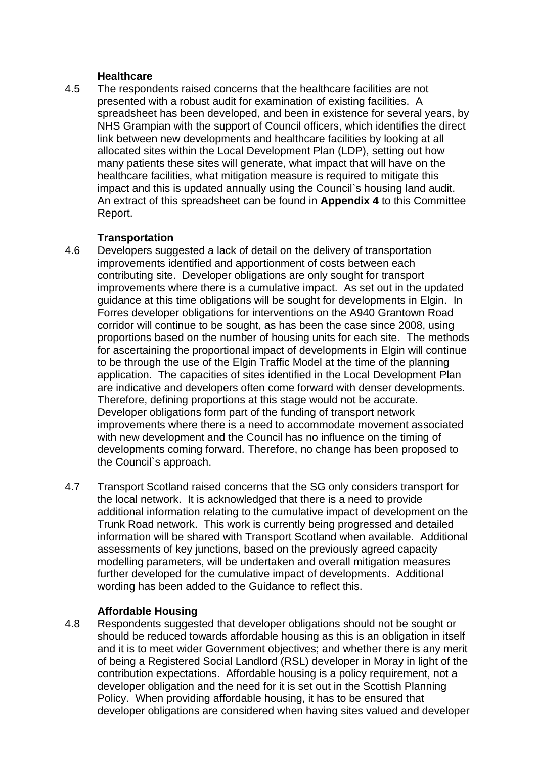### **Healthcare**

4.5 The respondents raised concerns that the healthcare facilities are not presented with a robust audit for examination of existing facilities. A spreadsheet has been developed, and been in existence for several years, by NHS Grampian with the support of Council officers, which identifies the direct link between new developments and healthcare facilities by looking at all allocated sites within the Local Development Plan (LDP), setting out how many patients these sites will generate, what impact that will have on the healthcare facilities, what mitigation measure is required to mitigate this impact and this is updated annually using the Council's housing land audit. An extract of this spreadsheet can be found in **Appendix 4** to this Committee Report.

#### **Transportation**

- 4.6 Developers suggested a lack of detail on the delivery of transportation improvements identified and apportionment of costs between each contributing site. Developer obligations are only sought for transport improvements where there is a cumulative impact. As set out in the updated guidance at this time obligations will be sought for developments in Elgin. In Forres developer obligations for interventions on the A940 Grantown Road corridor will continue to be sought, as has been the case since 2008, using proportions based on the number of housing units for each site. The methods for ascertaining the proportional impact of developments in Elgin will continue to be through the use of the Elgin Traffic Model at the time of the planning application. The capacities of sites identified in the Local Development Plan are indicative and developers often come forward with denser developments. Therefore, defining proportions at this stage would not be accurate. Developer obligations form part of the funding of transport network improvements where there is a need to accommodate movement associated with new development and the Council has no influence on the timing of developments coming forward. Therefore, no change has been proposed to the Council`s approach.
- 4.7 Transport Scotland raised concerns that the SG only considers transport for the local network. It is acknowledged that there is a need to provide additional information relating to the cumulative impact of development on the Trunk Road network. This work is currently being progressed and detailed information will be shared with Transport Scotland when available. Additional assessments of key junctions, based on the previously agreed capacity modelling parameters, will be undertaken and overall mitigation measures further developed for the cumulative impact of developments. Additional wording has been added to the Guidance to reflect this.

### **Affordable Housing**

4.8 Respondents suggested that developer obligations should not be sought or should be reduced towards affordable housing as this is an obligation in itself and it is to meet wider Government objectives; and whether there is any merit of being a Registered Social Landlord (RSL) developer in Moray in light of the contribution expectations. Affordable housing is a policy requirement, not a developer obligation and the need for it is set out in the Scottish Planning Policy. When providing affordable housing, it has to be ensured that developer obligations are considered when having sites valued and developer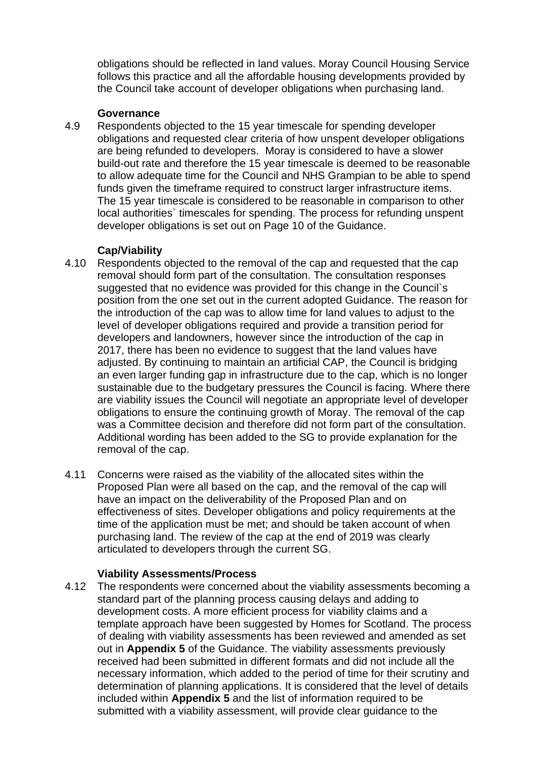obligations should be reflected in land values. Moray Council Housing Service follows this practice and all the affordable housing developments provided by the Council take account of developer obligations when purchasing land.

#### **Governance**

4.9 Respondents objected to the 15 year timescale for spending developer obligations and requested clear criteria of how unspent developer obligations are being refunded to developers. Moray is considered to have a slower build-out rate and therefore the 15 year timescale is deemed to be reasonable to allow adequate time for the Council and NHS Grampian to be able to spend funds given the timeframe required to construct larger infrastructure items. The 15 year timescale is considered to be reasonable in comparison to other local authorities` timescales for spending. The process for refunding unspent developer obligations is set out on Page 10 of the Guidance.

### **Cap/Viability**

- 4.10 Respondents objected to the removal of the cap and requested that the cap removal should form part of the consultation. The consultation responses suggested that no evidence was provided for this change in the Council`s position from the one set out in the current adopted Guidance. The reason for the introduction of the cap was to allow time for land values to adjust to the level of developer obligations required and provide a transition period for developers and landowners, however since the introduction of the cap in 2017, there has been no evidence to suggest that the land values have adjusted. By continuing to maintain an artificial CAP, the Council is bridging an even larger funding gap in infrastructure due to the cap, which is no longer sustainable due to the budgetary pressures the Council is facing. Where there are viability issues the Council will negotiate an appropriate level of developer obligations to ensure the continuing growth of Moray. The removal of the cap was a Committee decision and therefore did not form part of the consultation. Additional wording has been added to the SG to provide explanation for the removal of the cap.
- 4.11 Concerns were raised as the viability of the allocated sites within the Proposed Plan were all based on the cap, and the removal of the cap will have an impact on the deliverability of the Proposed Plan and on effectiveness of sites. Developer obligations and policy requirements at the time of the application must be met; and should be taken account of when purchasing land. The review of the cap at the end of 2019 was clearly articulated to developers through the current SG.

### **Viability Assessments/Process**

4.12 The respondents were concerned about the viability assessments becoming a standard part of the planning process causing delays and adding to development costs. A more efficient process for viability claims and a template approach have been suggested by Homes for Scotland. The process of dealing with viability assessments has been reviewed and amended as set out in **Appendix 5** of the Guidance. The viability assessments previously received had been submitted in different formats and did not include all the necessary information, which added to the period of time for their scrutiny and determination of planning applications. It is considered that the level of details included within **Appendix 5** and the list of information required to be submitted with a viability assessment, will provide clear guidance to the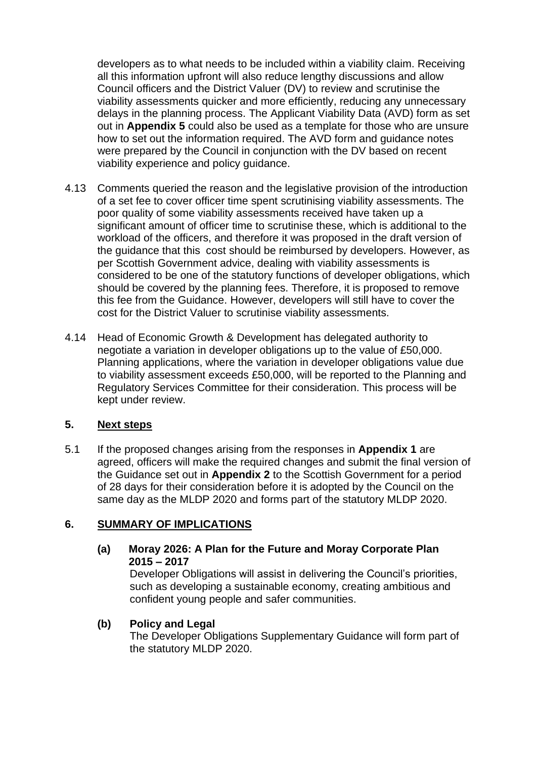developers as to what needs to be included within a viability claim. Receiving all this information upfront will also reduce lengthy discussions and allow Council officers and the District Valuer (DV) to review and scrutinise the viability assessments quicker and more efficiently, reducing any unnecessary delays in the planning process. The Applicant Viability Data (AVD) form as set out in **Appendix 5** could also be used as a template for those who are unsure how to set out the information required. The AVD form and guidance notes were prepared by the Council in conjunction with the DV based on recent viability experience and policy guidance.

- 4.13 Comments queried the reason and the legislative provision of the introduction of a set fee to cover officer time spent scrutinising viability assessments. The poor quality of some viability assessments received have taken up a significant amount of officer time to scrutinise these, which is additional to the workload of the officers, and therefore it was proposed in the draft version of the guidance that this cost should be reimbursed by developers. However, as per Scottish Government advice, dealing with viability assessments is considered to be one of the statutory functions of developer obligations, which should be covered by the planning fees. Therefore, it is proposed to remove this fee from the Guidance. However, developers will still have to cover the cost for the District Valuer to scrutinise viability assessments.
- 4.14 Head of Economic Growth & Development has delegated authority to negotiate a variation in developer obligations up to the value of £50,000. Planning applications, where the variation in developer obligations value due to viability assessment exceeds £50,000, will be reported to the Planning and Regulatory Services Committee for their consideration. This process will be kept under review.

# **5. Next steps**

5.1 If the proposed changes arising from the responses in **Appendix 1** are agreed, officers will make the required changes and submit the final version of the Guidance set out in **Appendix 2** to the Scottish Government for a period of 28 days for their consideration before it is adopted by the Council on the same day as the MLDP 2020 and forms part of the statutory MLDP 2020.

### **6. SUMMARY OF IMPLICATIONS**

### **(a) Moray 2026: A Plan for the Future and Moray Corporate Plan 2015 – 2017**

Developer Obligations will assist in delivering the Council's priorities, such as developing a sustainable economy, creating ambitious and confident young people and safer communities.

### **(b) Policy and Legal**

The Developer Obligations Supplementary Guidance will form part of the statutory MLDP 2020.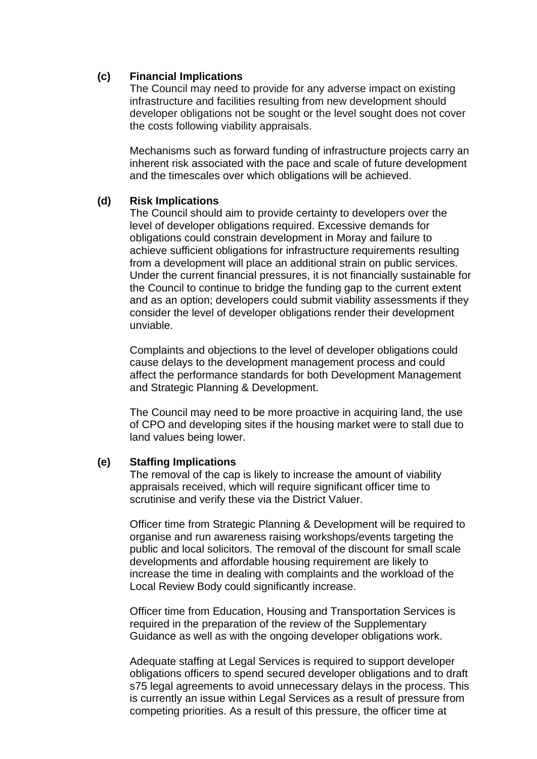### **(c) Financial Implications**

The Council may need to provide for any adverse impact on existing infrastructure and facilities resulting from new development should developer obligations not be sought or the level sought does not cover the costs following viability appraisals.

Mechanisms such as forward funding of infrastructure projects carry an inherent risk associated with the pace and scale of future development and the timescales over which obligations will be achieved.

### **(d) Risk Implications**

The Council should aim to provide certainty to developers over the level of developer obligations required. Excessive demands for obligations could constrain development in Moray and failure to achieve sufficient obligations for infrastructure requirements resulting from a development will place an additional strain on public services. Under the current financial pressures, it is not financially sustainable for the Council to continue to bridge the funding gap to the current extent and as an option; developers could submit viability assessments if they consider the level of developer obligations render their development unviable.

Complaints and objections to the level of developer obligations could cause delays to the development management process and could affect the performance standards for both Development Management and Strategic Planning & Development.

The Council may need to be more proactive in acquiring land, the use of CPO and developing sites if the housing market were to stall due to land values being lower.

### **(e) Staffing Implications**

The removal of the cap is likely to increase the amount of viability appraisals received, which will require significant officer time to scrutinise and verify these via the District Valuer.

Officer time from Strategic Planning & Development will be required to organise and run awareness raising workshops/events targeting the public and local solicitors. The removal of the discount for small scale developments and affordable housing requirement are likely to increase the time in dealing with complaints and the workload of the Local Review Body could significantly increase.

Officer time from Education, Housing and Transportation Services is required in the preparation of the review of the Supplementary Guidance as well as with the ongoing developer obligations work.

Adequate staffing at Legal Services is required to support developer obligations officers to spend secured developer obligations and to draft s75 legal agreements to avoid unnecessary delays in the process. This is currently an issue within Legal Services as a result of pressure from competing priorities. As a result of this pressure, the officer time at